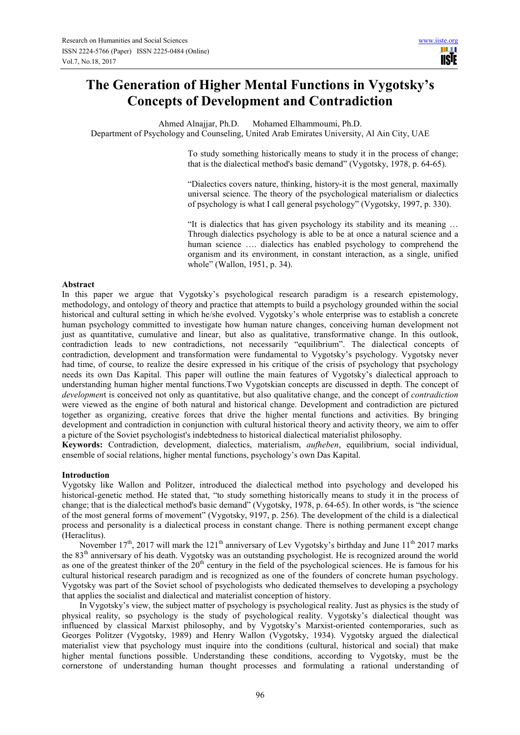# **The Generation of Higher Mental Functions in Vygotsky's Concepts of Development and Contradiction**

Ahmed Alnajjar, Ph.D. Mohamed Elhammoumi, Ph.D. Department of Psychology and Counseling, United Arab Emirates University, Al Ain City, UAE

> To study something historically means to study it in the process of change; that is the dialectical method's basic demand" (Vygotsky, 1978, p. 64-65).

> "Dialectics covers nature, thinking, history-it is the most general, maximally universal science. The theory of the psychological materialism or dialectics of psychology is what I call general psychology" (Vygotsky, 1997, p. 330).

> "It is dialectics that has given psychology its stability and its meaning … Through dialectics psychology is able to be at once a natural science and a human science .... dialectics has enabled psychology to comprehend the organism and its environment, in constant interaction, as a single, unified whole" (Wallon, 1951, p. 34).

# **Abstract**

In this paper we argue that Vygotsky's psychological research paradigm is a research epistemology, methodology, and ontology of theory and practice that attempts to build a psychology grounded within the social historical and cultural setting in which he/she evolved. Vygotsky's whole enterprise was to establish a concrete human psychology committed to investigate how human nature changes, conceiving human development not just as quantitative, cumulative and linear, but also as qualitative, transformative change. In this outlook, contradiction leads to new contradictions, not necessarily "equilibrium". The dialectical concepts of contradiction, development and transformation were fundamental to Vygotsky's psychology. Vygotsky never had time, of course, to realize the desire expressed in his critique of the crisis of psychology that psychology needs its own Das Kapital. This paper will outline the main features of Vygotsky's dialectical approach to understanding human higher mental functions.Two Vygotskian concepts are discussed in depth. The concept of *developmen*t is conceived not only as quantitative, but also qualitative change, and the concept of *contradiction* were viewed as the engine of both natural and historical change. Development and contradiction are pictured together as organizing, creative forces that drive the higher mental functions and activities. By bringing development and contradiction in conjunction with cultural historical theory and activity theory, we aim to offer a picture of the Soviet psychologist's indebtedness to historical dialectical materialist philosophy.

**Keywords:** Contradiction, development, dialectics, materialism, *aufheben*, equilibrium, social individual, ensemble of social relations, higher mental functions, psychology's own Das Kapital.

## **Introduction**

Vygotsky like Wallon and Politzer, introduced the dialectical method into psychology and developed his historical-genetic method. He stated that, "to study something historically means to study it in the process of change; that is the dialectical method's basic demand" (Vygotsky, 1978, p. 64-65). In other words, is "the science of the most general forms of movement" (Vygotsky, 9197, p. 256). The development of the child is a dialectical process and personality is a dialectical process in constant change. There is nothing permanent except change (Heraclitus).

November  $17<sup>th</sup>$ , 2017 will mark the 121<sup>th</sup> anniversary of Lev Vygotsky's birthday and June  $11<sup>th</sup>$  2017 marks the 83th anniversary of his death. Vygotsky was an outstanding psychologist. He is recognized around the world as one of the greatest thinker of the  $20<sup>th</sup>$  century in the field of the psychological sciences. He is famous for his cultural historical research paradigm and is recognized as one of the founders of concrete human psychology. Vygotsky was part of the Soviet school of psychologists who dedicated themselves to developing a psychology that applies the socialist and dialectical and materialist conception of history.

In Vygotsky's view, the subject matter of psychology is psychological reality. Just as physics is the study of physical reality, so psychology is the study of psychological reality. Vygotsky's dialectical thought was influenced by classical Marxist philosophy, and by Vygotsky's Marxist-oriented contemporaries, such as Georges Politzer (Vygotsky, 1989) and Henry Wallon (Vygotsky, 1934). Vygotsky argued the dialectical materialist view that psychology must inquire into the conditions (cultural, historical and social) that make higher mental functions possible. Understanding these conditions, according to Vygotsky, must be the cornerstone of understanding human thought processes and formulating a rational understanding of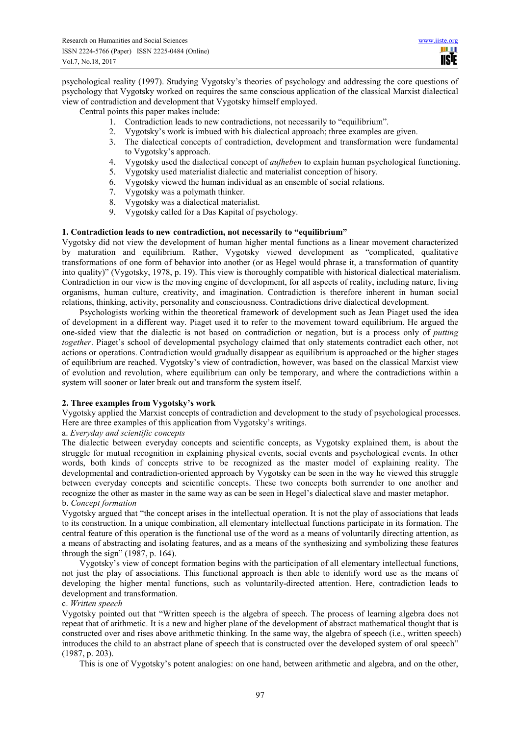HH I **TISIE** 

psychological reality (1997). Studying Vygotsky's theories of psychology and addressing the core questions of psychology that Vygotsky worked on requires the same conscious application of the classical Marxist dialectical view of contradiction and development that Vygotsky himself employed.

Central points this paper makes include:

- 1. Contradiction leads to new contradictions, not necessarily to "equilibrium".
- 2. Vygotsky's work is imbued with his dialectical approach; three examples are given.
- 3. The dialectical concepts of contradiction, development and transformation were fundamental to Vygotsky's approach.
- 4. Vygotsky used the dialectical concept of *aufheben* to explain human psychological functioning.
- 5. Vygotsky used materialist dialectic and materialist conception of hisory.
- 6. Vygotsky viewed the human individual as an ensemble of social relations.
- 7. Vygotsky was a polymath thinker.
- 8. Vygotsky was a dialectical materialist.
- 9. Vygotsky called for a Das Kapital of psychology.

## **1. Contradiction leads to new contradiction, not necessarily to "equilibrium"**

Vygotsky did not view the development of human higher mental functions as a linear movement characterized by maturation and equilibrium. Rather, Vygotsky viewed development as "complicated, qualitative transformations of one form of behavior into another (or as Hegel would phrase it, a transformation of quantity into quality)" (Vygotsky, 1978, p. 19). This view is thoroughly compatible with historical dialectical materialism. Contradiction in our view is the moving engine of development, for all aspects of reality, including nature, living organisms, human culture, creativity, and imagination. Contradiction is therefore inherent in human social relations, thinking, activity, personality and consciousness. Contradictions drive dialectical development.

Psychologists working within the theoretical framework of development such as Jean Piaget used the idea of development in a different way. Piaget used it to refer to the movement toward equilibrium. He argued the one-sided view that the dialectic is not based on contradiction or negation, but is a process only of *putting together*. Piaget's school of developmental psychology claimed that only statements contradict each other, not actions or operations. Contradiction would gradually disappear as equilibrium is approached or the higher stages of equilibrium are reached. Vygotsky's view of contradiction, however, was based on the classical Marxist view of evolution and revolution, where equilibrium can only be temporary, and where the contradictions within a system will sooner or later break out and transform the system itself.

## **2. Three examples from Vygotsky's work**

Vygotsky applied the Marxist concepts of contradiction and development to the study of psychological processes. Here are three examples of this application from Vygotsky's writings.

#### a. *Everyday and scientific concepts*

The dialectic between everyday concepts and scientific concepts, as Vygotsky explained them, is about the struggle for mutual recognition in explaining physical events, social events and psychological events. In other words, both kinds of concepts strive to be recognized as the master model of explaining reality. The developmental and contradiction-oriented approach by Vygotsky can be seen in the way he viewed this struggle between everyday concepts and scientific concepts. These two concepts both surrender to one another and recognize the other as master in the same way as can be seen in Hegel's dialectical slave and master metaphor. b. *Concept formation* 

Vygotsky argued that "the concept arises in the intellectual operation. It is not the play of associations that leads to its construction. In a unique combination, all elementary intellectual functions participate in its formation. The central feature of this operation is the functional use of the word as a means of voluntarily directing attention, as a means of abstracting and isolating features, and as a means of the synthesizing and symbolizing these features through the sign" (1987, p. 164).

Vygotsky's view of concept formation begins with the participation of all elementary intellectual functions, not just the play of associations. This functional approach is then able to identify word use as the means of developing the higher mental functions, such as voluntarily-directed attention. Here, contradiction leads to development and transformation.

#### c. *Written speech*

Vygotsky pointed out that "Written speech is the algebra of speech. The process of learning algebra does not repeat that of arithmetic. It is a new and higher plane of the development of abstract mathematical thought that is constructed over and rises above arithmetic thinking. In the same way, the algebra of speech (i.e., written speech) introduces the child to an abstract plane of speech that is constructed over the developed system of oral speech" (1987, p. 203).

This is one of Vygotsky's potent analogies: on one hand, between arithmetic and algebra, and on the other,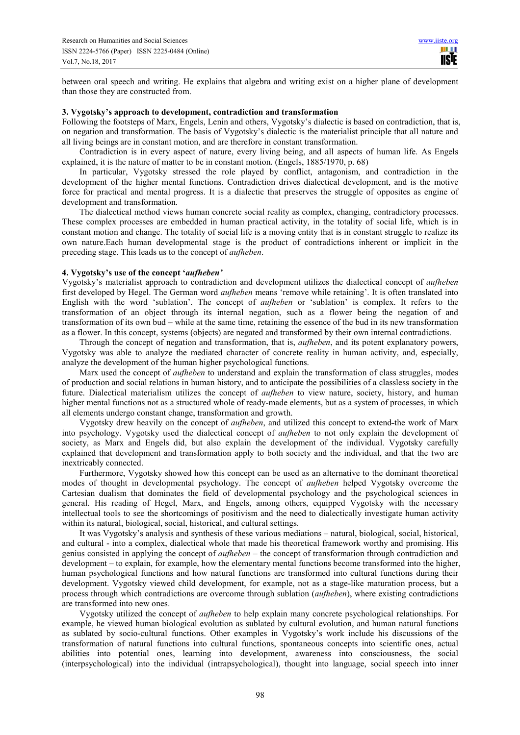between oral speech and writing. He explains that algebra and writing exist on a higher plane of development than those they are constructed from.

# **3. Vygotsky's approach to development, contradiction and transformation**

Following the footsteps of Marx, Engels, Lenin and others, Vygotsky's dialectic is based on contradiction, that is, on negation and transformation. The basis of Vygotsky's dialectic is the materialist principle that all nature and all living beings are in constant motion, and are therefore in constant transformation.

Contradiction is in every aspect of nature, every living being, and all aspects of human life. As Engels explained, it is the nature of matter to be in constant motion. (Engels, 1885/1970, p. 68)

In particular, Vygotsky stressed the role played by conflict, antagonism, and contradiction in the development of the higher mental functions. Contradiction drives dialectical development, and is the motive force for practical and mental progress. It is a dialectic that preserves the struggle of opposites as engine of development and transformation.

The dialectical method views human concrete social reality as complex, changing, contradictory processes. These complex processes are embedded in human practical activity, in the totality of social life, which is in constant motion and change. The totality of social life is a moving entity that is in constant struggle to realize its own nature.Each human developmental stage is the product of contradictions inherent or implicit in the preceding stage. This leads us to the concept of *aufheben*.

# **4. Vygotsky's use of the concept '***aufheben'*

Vygotsky's materialist approach to contradiction and development utilizes the dialectical concept of *aufheben* first developed by Hegel. The German word *aufheben* means 'remove while retaining'. It is often translated into English with the word 'sublation'. The concept of *aufheben* or 'sublation' is complex. It refers to the transformation of an object through its internal negation, such as a flower being the negation of and transformation of its own bud – while at the same time, retaining the essence of the bud in its new transformation as a flower. In this concept, systems (objects) are negated and transformed by their own internal contradictions.

Through the concept of negation and transformation, that is, *aufheben*, and its potent explanatory powers, Vygotsky was able to analyze the mediated character of concrete reality in human activity, and, especially, analyze the development of the human higher psychological functions.

Marx used the concept of *aufheben* to understand and explain the transformation of class struggles, modes of production and social relations in human history, and to anticipate the possibilities of a classless society in the future. Dialectical materialism utilizes the concept of *aufheben* to view nature, society, history, and human higher mental functions not as a structured whole of ready-made elements, but as a system of processes, in which all elements undergo constant change, transformation and growth.

Vygotsky drew heavily on the concept of *aufheben*, and utilized this concept to extend the work of Marx into psychology. Vygotsky used the dialectical concept of *aufheben* to not only explain the development of society, as Marx and Engels did, but also explain the development of the individual. Vygotsky carefully explained that development and transformation apply to both society and the individual, and that the two are inextricably connected.

Furthermore, Vygotsky showed how this concept can be used as an alternative to the dominant theoretical modes of thought in developmental psychology. The concept of *aufheben* helped Vygotsky overcome the Cartesian dualism that dominates the field of developmental psychology and the psychological sciences in general. His reading of Hegel, Marx, and Engels, among others, equipped Vygotsky with the necessary intellectual tools to see the shortcomings of positivism and the need to dialectically investigate human activity within its natural, biological, social, historical, and cultural settings.

It was Vygotsky's analysis and synthesis of these various mediations – natural, biological, social, historical, and cultural - into a complex, dialectical whole that made his theoretical framework worthy and promising. His genius consisted in applying the concept of *aufheben* – the concept of transformation through contradiction and development – to explain, for example, how the elementary mental functions become transformed into the higher, human psychological functions and how natural functions are transformed into cultural functions during their development. Vygotsky viewed child development, for example, not as a stage-like maturation process, but a process through which contradictions are overcome through sublation (*aufheben*), where existing contradictions are transformed into new ones.

Vygotsky utilized the concept of *aufheben* to help explain many concrete psychological relationships. For example, he viewed human biological evolution as sublated by cultural evolution, and human natural functions as sublated by socio-cultural functions. Other examples in Vygotsky's work include his discussions of the transformation of natural functions into cultural functions, spontaneous concepts into scientific ones, actual abilities into potential ones, learning into development, awareness into consciousness, the social (interpsychological) into the individual (intrapsychological), thought into language, social speech into inner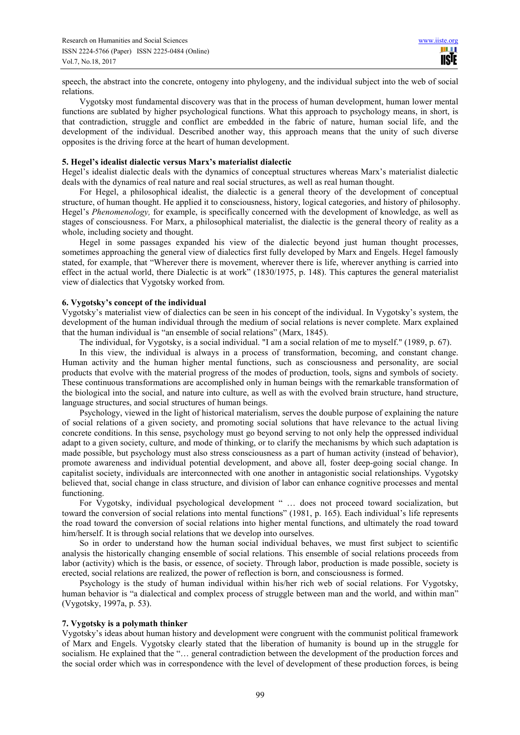speech, the abstract into the concrete, ontogeny into phylogeny, and the individual subject into the web of social relations.

Vygotsky most fundamental discovery was that in the process of human development, human lower mental functions are sublated by higher psychological functions. What this approach to psychology means, in short, is that contradiction, struggle and conflict are embedded in the fabric of nature, human social life, and the development of the individual. Described another way, this approach means that the unity of such diverse opposites is the driving force at the heart of human development.

# **5. Hegel's idealist dialectic versus Marx's materialist dialectic**

Hegel's idealist dialectic deals with the dynamics of conceptual structures whereas Marx's materialist dialectic deals with the dynamics of real nature and real social structures, as well as real human thought.

For Hegel, a philosophical idealist, the dialectic is a general theory of the development of conceptual structure, of human thought. He applied it to consciousness, history, logical categories, and history of philosophy. Hegel's *Phenomenology,* for example, is specifically concerned with the development of knowledge, as well as stages of consciousness. For Marx, a philosophical materialist, the dialectic is the general theory of reality as a whole, including society and thought.

Hegel in some passages expanded his view of the dialectic beyond just human thought processes, sometimes approaching the general view of dialectics first fully developed by Marx and Engels. Hegel famously stated, for example, that "Wherever there is movement, wherever there is life, wherever anything is carried into effect in the actual world, there Dialectic is at work" (1830/1975, p. 148). This captures the general materialist view of dialectics that Vygotsky worked from.

# **6. Vygotsky's concept of the individual**

Vygotsky's materialist view of dialectics can be seen in his concept of the individual. In Vygotsky's system, the development of the human individual through the medium of social relations is never complete. Marx explained that the human individual is "an ensemble of social relations" (Marx, 1845).

The individual, for Vygotsky, is a social individual. "I am a social relation of me to myself." (1989, p. 67).

In this view, the individual is always in a process of transformation, becoming, and constant change. Human activity and the human higher mental functions, such as consciousness and personality, are social products that evolve with the material progress of the modes of production, tools, signs and symbols of society. These continuous transformations are accomplished only in human beings with the remarkable transformation of the biological into the social, and nature into culture, as well as with the evolved brain structure, hand structure, language structures, and social structures of human beings.

Psychology, viewed in the light of historical materialism, serves the double purpose of explaining the nature of social relations of a given society, and promoting social solutions that have relevance to the actual living concrete conditions. In this sense, psychology must go beyond serving to not only help the oppressed individual adapt to a given society, culture, and mode of thinking, or to clarify the mechanisms by which such adaptation is made possible, but psychology must also stress consciousness as a part of human activity (instead of behavior), promote awareness and individual potential development, and above all, foster deep-going social change. In capitalist society, individuals are interconnected with one another in antagonistic social relationships. Vygotsky believed that, social change in class structure, and division of labor can enhance cognitive processes and mental functioning.

For Vygotsky, individual psychological development " ... does not proceed toward socialization, but toward the conversion of social relations into mental functions" (1981, p. 165). Each individual's life represents the road toward the conversion of social relations into higher mental functions, and ultimately the road toward him/herself. It is through social relations that we develop into ourselves.

So in order to understand how the human social individual behaves, we must first subject to scientific analysis the historically changing ensemble of social relations. This ensemble of social relations proceeds from labor (activity) which is the basis, or essence, of society. Through labor, production is made possible, society is erected, social relations are realized, the power of reflection is born, and consciousness is formed.

Psychology is the study of human individual within his/her rich web of social relations. For Vygotsky, human behavior is "a dialectical and complex process of struggle between man and the world, and within man" (Vygotsky, 1997a, p. 53).

# **7. Vygotsky is a polymath thinker**

Vygotsky's ideas about human history and development were congruent with the communist political framework of Marx and Engels. Vygotsky clearly stated that the liberation of humanity is bound up in the struggle for socialism. He explained that the "… general contradiction between the development of the production forces and the social order which was in correspondence with the level of development of these production forces, is being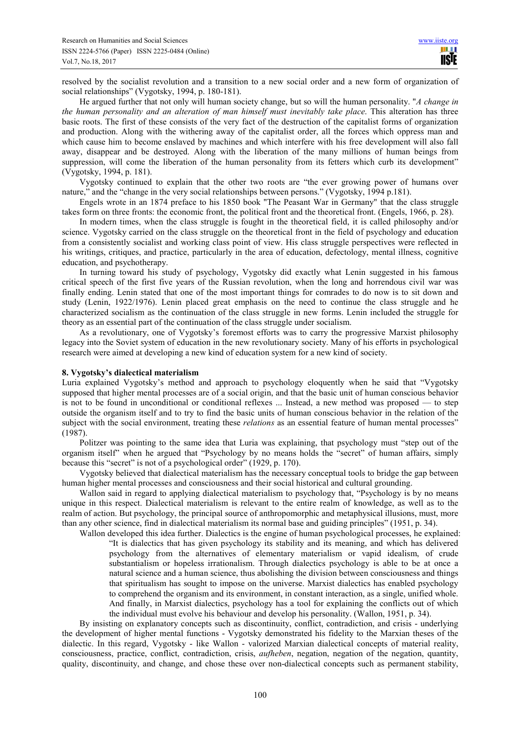resolved by the socialist revolution and a transition to a new social order and a new form of organization of social relationships" (Vygotsky, 1994, p. 180-181).

He argued further that not only will human society change, but so will the human personality. "*A change in the human personality and an alteration of man himself must inevitably take place*. This alteration has three basic roots. The first of these consists of the very fact of the destruction of the capitalist forms of organization and production. Along with the withering away of the capitalist order, all the forces which oppress man and which cause him to become enslaved by machines and which interfere with his free development will also fall away, disappear and be destroyed. Along with the liberation of the many millions of human beings from suppression, will come the liberation of the human personality from its fetters which curb its development" (Vygotsky, 1994, p. 181).

Vygotsky continued to explain that the other two roots are "the ever growing power of humans over nature," and the "change in the very social relationships between persons." (Vygotsky, 1994 p.181).

Engels wrote in an 1874 preface to his 1850 book "The Peasant War in Germany" that the class struggle takes form on three fronts: the economic front, the political front and the theoretical front. (Engels, 1966, p. 28).

In modern times, when the class struggle is fought in the theoretical field, it is called philosophy and/or science. Vygotsky carried on the class struggle on the theoretical front in the field of psychology and education from a consistently socialist and working class point of view. His class struggle perspectives were reflected in his writings, critiques, and practice, particularly in the area of education, defectology, mental illness, cognitive education, and psychotherapy.

In turning toward his study of psychology, Vygotsky did exactly what Lenin suggested in his famous critical speech of the first five years of the Russian revolution, when the long and horrendous civil war was finally ending. Lenin stated that one of the most important things for comrades to do now is to sit down and study (Lenin, 1922/1976). Lenin placed great emphasis on the need to continue the class struggle and he characterized socialism as the continuation of the class struggle in new forms. Lenin included the struggle for theory as an essential part of the continuation of the class struggle under socialism.

As a revolutionary, one of Vygotsky's foremost efforts was to carry the progressive Marxist philosophy legacy into the Soviet system of education in the new revolutionary society. Many of his efforts in psychological research were aimed at developing a new kind of education system for a new kind of society.

## **8. Vygotsky's dialectical materialism**

Luria explained Vygotsky's method and approach to psychology eloquently when he said that "Vygotsky supposed that higher mental processes are of a social origin, and that the basic unit of human conscious behavior is not to be found in unconditional or conditional reflexes ... Instead, a new method was proposed — to step outside the organism itself and to try to find the basic units of human conscious behavior in the relation of the subject with the social environment, treating these *relations* as an essential feature of human mental processes" (1987).

Politzer was pointing to the same idea that Luria was explaining, that psychology must "step out of the organism itself" when he argued that "Psychology by no means holds the "secret" of human affairs, simply because this "secret" is not of a psychological order" (1929, p. 170).

Vygotsky believed that dialectical materialism has the necessary conceptual tools to bridge the gap between human higher mental processes and consciousness and their social historical and cultural grounding.

Wallon said in regard to applying dialectical materialism to psychology that, "Psychology is by no means unique in this respect. Dialectical materialism is relevant to the entire realm of knowledge, as well as to the realm of action. But psychology, the principal source of anthropomorphic and metaphysical illusions, must, more than any other science, find in dialectical materialism its normal base and guiding principles" (1951, p. 34).

Wallon developed this idea further. Dialectics is the engine of human psychological processes, he explained: "It is dialectics that has given psychology its stability and its meaning, and which has delivered psychology from the alternatives of elementary materialism or vapid idealism, of crude substantialism or hopeless irrationalism. Through dialectics psychology is able to be at once a natural science and a human science, thus abolishing the division between consciousness and things that spiritualism has sought to impose on the universe. Marxist dialectics has enabled psychology to comprehend the organism and its environment, in constant interaction, as a single, unified whole. And finally, in Marxist dialectics, psychology has a tool for explaining the conflicts out of which the individual must evolve his behaviour and develop his personality. (Wallon, 1951, p. 34).

By insisting on explanatory concepts such as discontinuity, conflict, contradiction, and crisis - underlying the development of higher mental functions - Vygotsky demonstrated his fidelity to the Marxian theses of the dialectic. In this regard, Vygotsky - like Wallon - valorized Marxian dialectical concepts of material reality, consciousness, practice, conflict, contradiction, crisis, *aufheben*, negation, negation of the negation, quantity, quality, discontinuity, and change, and chose these over non-dialectical concepts such as permanent stability,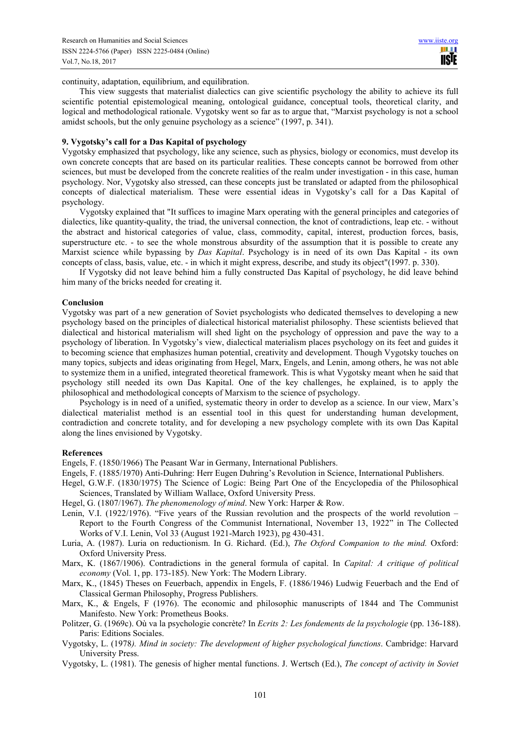continuity, adaptation, equilibrium, and equilibration.

This view suggests that materialist dialectics can give scientific psychology the ability to achieve its full scientific potential epistemological meaning, ontological guidance, conceptual tools, theoretical clarity, and logical and methodological rationale. Vygotsky went so far as to argue that, "Marxist psychology is not a school amidst schools, but the only genuine psychology as a science" (1997, p. 341).

## **9. Vygotsky's call for a Das Kapital of psychology**

Vygotsky emphasized that psychology, like any science, such as physics, biology or economics, must develop its own concrete concepts that are based on its particular realities. These concepts cannot be borrowed from other sciences, but must be developed from the concrete realities of the realm under investigation - in this case, human psychology. Nor, Vygotsky also stressed, can these concepts just be translated or adapted from the philosophical concepts of dialectical materialism. These were essential ideas in Vygotsky's call for a Das Kapital of psychology.

Vygotsky explained that "It suffices to imagine Marx operating with the general principles and categories of dialectics, like quantity-quality, the triad, the universal connection, the knot of contradictions, leap etc. - without the abstract and historical categories of value, class, commodity, capital, interest, production forces, basis, superstructure etc. - to see the whole monstrous absurdity of the assumption that it is possible to create any Marxist science while bypassing by *Das Kapital*. Psychology is in need of its own Das Kapital - its own concepts of class, basis, value, etc. - in which it might express, describe, and study its object"(1997. p. 330).

If Vygotsky did not leave behind him a fully constructed Das Kapital of psychology, he did leave behind him many of the bricks needed for creating it.

#### **Conclusion**

Vygotsky was part of a new generation of Soviet psychologists who dedicated themselves to developing a new psychology based on the principles of dialectical historical materialist philosophy. These scientists believed that dialectical and historical materialism will shed light on the psychology of oppression and pave the way to a psychology of liberation. In Vygotsky's view, dialectical materialism places psychology on its feet and guides it to becoming science that emphasizes human potential, creativity and development. Though Vygotsky touches on many topics, subjects and ideas originating from Hegel, Marx, Engels, and Lenin, among others, he was not able to systemize them in a unified, integrated theoretical framework. This is what Vygotsky meant when he said that psychology still needed its own Das Kapital. One of the key challenges, he explained, is to apply the philosophical and methodological concepts of Marxism to the science of psychology.

Psychology is in need of a unified, systematic theory in order to develop as a science. In our view, Marx's dialectical materialist method is an essential tool in this quest for understanding human development, contradiction and concrete totality, and for developing a new psychology complete with its own Das Kapital along the lines envisioned by Vygotsky.

#### **References**

Engels, F. (1850/1966) The Peasant War in Germany, International Publishers.

- Engels, F. (1885/1970) Anti-Duhring: Herr Eugen Duhring's Revolution in Science, International Publishers.
- Hegel, G.W.F. (1830/1975) The Science of Logic: Being Part One of the Encyclopedia of the Philosophical Sciences, Translated by William Wallace, Oxford University Press.
- Hegel, G. (1807/1967). *The phenomenology of mind*. New York: Harper & Row.
- Lenin, V.I. (1922/1976). "Five years of the Russian revolution and the prospects of the world revolution Report to the Fourth Congress of the Communist International, November 13, 1922" in The Collected Works of V.I. Lenin, Vol 33 (August 1921-March 1923), pg 430-431.
- Luria, A. (1987). Luria on reductionism. In G. Richard. (Ed.), *The Oxford Companion to the mind.* Oxford: Oxford University Press.
- Marx, K. (1867/1906). Contradictions in the general formula of capital. In *Capital: A critique of political economy* (Vol. 1, pp. 173-185). New York: The Modern Library.
- Marx, K., (1845) Theses on Feuerbach, appendix in Engels, F. (1886/1946) Ludwig Feuerbach and the End of Classical German Philosophy, Progress Publishers.
- Marx, K., & Engels, F (1976). The economic and philosophic manuscripts of 1844 and The Communist Manifesto. New York: Prometheus Books.
- Politzer, G. (1969c). Où va la psychologie concrète? In *Ecrits 2: Les fondements de la psychologie* (pp. 136-188). Paris: Editions Sociales.
- Vygotsky, L. (1978*). Mind in society: The development of higher psychological functions*. Cambridge: Harvard University Press.
- Vygotsky, L. (1981). The genesis of higher mental functions. J. Wertsch (Ed.), *The concept of activity in Soviet*